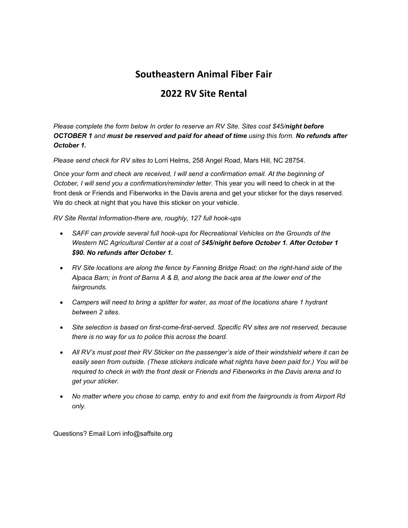## Southeastern Animal Fiber Fair

## 2022 RV Site Rental

*Please complete the form below In order to reserve an RV Site. Sites cost \$45/night before OCTOBER 1 and must be reserved and paid for ahead of time using this form. No refunds after October 1.*

*Please send check for RV sites to* Lorri Helms, 258 Angel Road, Mars Hill, NC 28754.

*Once your form and check are received, I will send a confirmation email. At the beginning of October, I will send you a confirmation/reminder letter.* This year you will need to check in at the front desk or Friends and Fiberworks in the Davis arena and get your sticker for the days reserved. We do check at night that you have this sticker on your vehicle.

*RV Site Rental Information-there are, roughly, 127 full hook-ups*

- *SAFF can provide several full hook-ups for Recreational Vehicles on the Grounds of the Western NC Agricultural Center at a cost of \$45/night before October 1. After October 1 \$90. No refunds after October 1.*
- RV Site locations are along the fence by Fanning Bridge Road; on the right-hand side of the *Alpaca Barn; in front of Barns A & B, and along the back area at the lower end of the fairgrounds.*
- *Campers will need to bring a splitter for water, as most of the locations share 1 hydrant between 2 sites.*
- *Site selection is based on first-come-first-served. Specific RV sites are not reserved, because there is no way for us to police this across the board.*
- *All RV's must post their RV Sticker on the passenger's side of their windshield where it can be easily seen from outside. (These stickers indicate what nights have been paid for.) You will be required to check in with the front desk or Friends and Fiberworks in the Davis arena and to get your sticker.*
- *No matter where you chose to camp, entry to and exit from the fairgrounds is from Airport Rd only.*

Questions? Email Lorri [info@saffsite.org](mailto:info@saffsite.org)